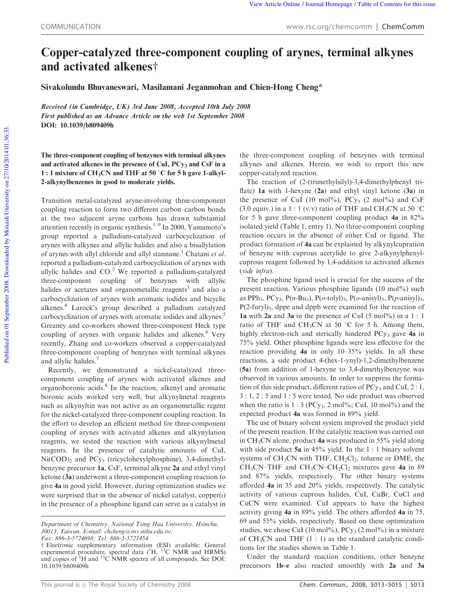## Copper-catalyzed three-component coupling of arynes, terminal alkynes and activated alkenes†

Sivakolundu Bhuvaneswari, Masilamani Jeganmohan and Chien-Hong Cheng\*

Received (in Cambridge, UK) 3rd June 2008, Accepted 10th July 2008 First published as an Advance Article on the web 1st September 2008 DOI: 10.1039/b809409h

The three-component coupling of benzynes with terminal alkynes and activated alkenes in the presence of CuI,  $PCy_3$  and CsF in a 1 : 1 mixture of CH<sub>3</sub>CN and THF at 50 °C for 5 h gave 1-alkyl-2-alkynylbenzenes in good to moderate yields.

Transition metal-catalyzed aryne-involving three-component coupling reaction to form two different carbon–carbon bonds at the two adjacent aryne carbons has drawn substantial attention recently in organic synthesis.<sup>1–9</sup> In 2000, Yamamoto's group reported a palladium-catalyzed carbocyclization of arynes with alkynes and allylic halides and also a bisallylation of arynes with allyl chloride and allyl stannane.<sup>1</sup> Chatani *et al.* reported a palladium-catalyzed carbocyclization of arynes with allylic halides and  $CO<sup>2</sup>$  We reported a palladium-catalyzed three-component coupling of benzynes with allylic halides or acetates and organometallic reagents<sup>3</sup> and also a carbocyclization of arynes with aromatic iodides and bicyclic alkenes.<sup>4</sup> Larock's group described a palladium catalyzed carbocyclization of arynes with aromatic iodides and alkynes.<sup>5</sup> Greaney and co-workers showed three-component Heck type coupling of arynes with organic halides and alkenes.<sup>6</sup> Very recently, Zhang and co-workers observed a copper-catalyzed three-component coupling of benzynes with terminal alkynes and allylic halides.

Recently, we demonstrated a nickel-catalyzed threecomponent coupling of arynes with activated alkenes and organoboronic acids.<sup>8</sup> In the reaction, alkenyl and aromatic boronic acids worked very well, but alkynylmetal reagents such as alkynyltin was not active as an organometallic regent for the nickel-catalyzed three-component coupling reaction. In the effort to develop an efficient method for three-component coupling of arynes with activated alkenes and alkynylation reagents, we tested the reaction with various alkynylmetal reagents. In the presence of catalytic amounts of CuI,  $Ni(COD)_2$  and  $PCy_3$  (tricyclohexylphosphine), 3,4-dimethylbenzyne precursor 1a, CsF, terminal alkyne 2a and ethyl vinyl ketone (3a) underwent a three-component coupling reaction to give 4a in good yield. However, during optimization studies we were surprised that in the absence of nickel catalyst, copper(I) in the presence of a phosphine ligand can serve as a catalyst in

the three-component coupling of benzynes with terminal alkynes and alkenes. Herein, we wish to report this new copper-catalyzed reaction.

The reaction of (2-(trimethylsilyl)-3,4-dimethylphenyl triflate) 1a with 1-hexyne (2a) and ethyl vinyl ketone (3a) in the presence of CuI (10 mol%),  $PCy_3$  (2 mol%) and CsF (3.0 equiv.) in a 1 : 1 (v/v) ratio of THF and CH<sub>3</sub>CN at 50 °C for 5 h gave three-component coupling product  $4a$  in  $82\%$ isolated yield (Table 1, entry 1). No three-component coupling reaction occurs in the absence of either CuI or ligand. The product formation of 4a can be explained by alkynylcupration of benzyne with cuprous acetylide to give 2-alkynylphenylcuprous reagent followed by 1,4-addition to activated alkenes (*vide infra*).

The phosphine ligand used is crucial for the success of the present reaction. Various phosphine ligands  $(10 \text{ mol\%})$  such as PPh<sub>3</sub>, PCy<sub>3</sub>, P(*n*-Bu<sub>3</sub>), P(*o*-tolyl)<sub>3</sub>, P(*o*-anisyl)<sub>3</sub>, P(*p*-anisyl)<sub>3</sub>,  $P(2-furyl)<sub>3</sub>$ , dppe and dppb were examined for the reaction of 1a with 2a and 3a in the presence of CuI (5 mol%) in a  $1:1$ ratio of THF and CH<sub>3</sub>CN at 50  $\degree$ C for 5 h. Among them, highly electron-rich and sterically hindered  $PCy_3$  gave 4a in 75% yield. Other phosphine ligands were less effective for the reaction providing 4a in only 10–35% yields. In all these reactions, a side product 4-(hex-1-ynyl)-1,2-dimethylbenzene (5a) from addition of 1-hexyne to 3,4-dimethylbenzyne was observed in various amounts. In order to suppress the formation of this side product, different ratios of  $PCy_3$  and CuI, 2 : 1, 3 : 1, 2 : 5 and 1 : 5 were tested. No side product was observed when the ratio is  $1: 5$  (PCy<sub>3</sub>, 2 mol%; CuI, 10 mol%) and the expected product 4a was formed in 89% yield.

The use of binary solvent system improved the product yield of the present reaction. If the catalytic reaction was carried out in CH<sub>3</sub>CN alone, product 4a was produced in 55% yield along with side product 5a in 45% yield. In the 1 : 1 binary solvent systems of  $CH<sub>3</sub>CN$  with THF,  $CH<sub>2</sub>Cl<sub>2</sub>$ , toluene or DME, the  $CH_3CN$ –THF and  $CH_3CN$ – $CH_2Cl_2$  mixtures gave 4a in 89 and 87% yields, respectively. The other binary systems afforded 4a in 35 and 20% yields, respectively. The catalytic activity of various cuprous halides, CuI, CuBr, CuCl and CuCN were examined. CuI appears to have the highest activity giving 4a in 89% yield. The others afforded 4a in 75, 69 and 55% yields, respectively. Based on these optimization studies, we chose CuI (10 mol%),  $PCy_3$  (2 mol%) in a mixture of  $CH<sub>3</sub>CN$  and THF (1 : 1) as the standard catalytic conditions for the studies shown in Table 1.

Under the standard reaction conditions, other benzyne precursors 1b–e also reacted smoothly with 2a and 3a

*Department of Chemistry, National Tsing Hua University, Hsinchu, 30013, Taiwan. E-mail: chcheng@mx.nthu.edu.tw; Fax: 886-3-5724698; Tel: 886-3-5721454*

 $\dagger$  Electronic supplementary information (ESI) available: General experimental procedure, spectral data  $(^1H, ^{13}C)$  NMR and HRMS) and copies of  ${}^{1}$ H and  ${}^{13}C$  NMR spectra of all compounds. See DOI: 10.1039/b809409h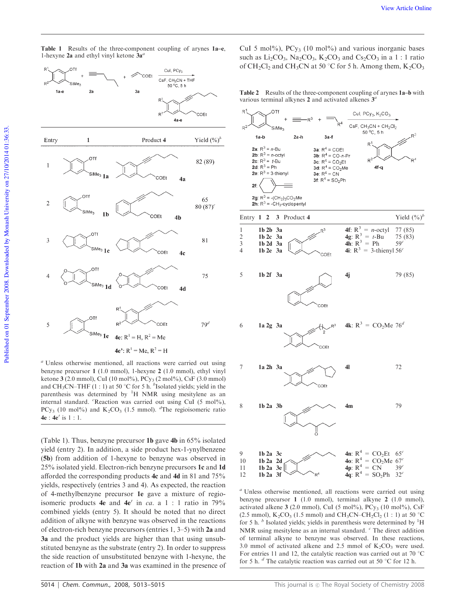



*<sup>a</sup>* Unless otherwise mentioned, all reactions were carried out using benzyne precursor 1 (1.0 mmol), 1-hexyne 2 (1.0 mmol), ethyl vinyl ketone 3 (2.0 mmol), CuI (10 mol%), PCy<sup>3</sup> (2 mol%), CsF (3.0 mmol) and  $CH_3CN–THF(1:1)$  at 50 °C for 5 h. <sup>*b*</sup> Isolated yields; yield in the parenthesis was determined by  ${}^{1}H$  NMR using mesitylene as an internal standard. *<sup>c</sup>*Reaction was carried out using CuI (5 mol%), PCy<sub>3</sub> (10 mol%) and K<sub>2</sub>CO<sub>3</sub> (1.5 mmol). <sup>*d*</sup>The regioisomeric ratio  $4e : 4e'$  is  $1 : 1$ .

(Table 1). Thus, benzyne precursor 1b gave 4b in 65% isolated yield (entry 2). In addition, a side product hex-1-ynylbenzene (5b) from addition of 1-hexyne to benzyne was observed in 25% isolated yield. Electron-rich benzyne precursors 1c and 1d afforded the corresponding products 4c and 4d in 81 and 75% yields, respectively (entries 3 and 4). As expected, the reaction of 4-methylbenzyne precursor 1e gave a mixture of regioisomeric products  $4e$  and  $4e'$  in *ca*. a 1 : 1 ratio in 79% combined yields (entry 5). It should be noted that no direct addition of alkyne with benzyne was observed in the reactions of electron-rich benzyne precursors (entries 1, 3–5) with 2a and 3a and the product yields are higher than that using unsubstituted benzyne as the substrate (entry 2). In order to suppress the side reaction of unsubstituted benzyne with 1-hexyne, the reaction of 1b with 2a and 3a was examined in the presence of CuI 5 mol%),  $PCy_3$  (10 mol%) and various inorganic bases such as  $Li_2CO_3$ , Na<sub>2</sub>CO<sub>3</sub>, K<sub>2</sub>CO<sub>3</sub> and Cs<sub>2</sub>CO<sub>3</sub> in a 1 : 1 ratio of CH<sub>2</sub>Cl<sub>2</sub> and CH<sub>3</sub>CN at 50  $\degree$ C for 5 h. Among them, K<sub>2</sub>CO<sub>3</sub>

Table 2 Results of the three-component coupling of arynes 1a–b with various terminal alkynes 2 and activated alkenes 3 *a*



*<sup>a</sup>* Unless otherwise mentioned, all reactions were carried out using benzyne precursor 1 (1.0 mmol), terminal alkyne 2 (1.0 mmol), activated alkene 3 (2.0 mmol), CuI (5 mol%), PCy<sub>3</sub> (10 mol%), CsF (2.5 mmol),  $K_2CO_3$  (1.5 mmol) and CH<sub>3</sub>CN–CH<sub>2</sub>Cl<sub>2</sub> (1 : 1) at 50 °C for 5 h. <sup>*b*</sup> Isolated yields; yields in parenthesis were determined by <sup>1</sup>H NMR using mesitylene as an internal standard. *<sup>c</sup>* The direct addition of terminal alkyne to benzyne was observed. In these reactions, 3.0 mmol of activated alkene and 2.5 mmol of  $K_2CO_3$  were used. For entries 11 and 12, the catalytic reaction was carried out at 70  $\degree$ C for 5 h. <sup>*d*</sup> The catalytic reaction was carried out at 50 °C for 12 h.